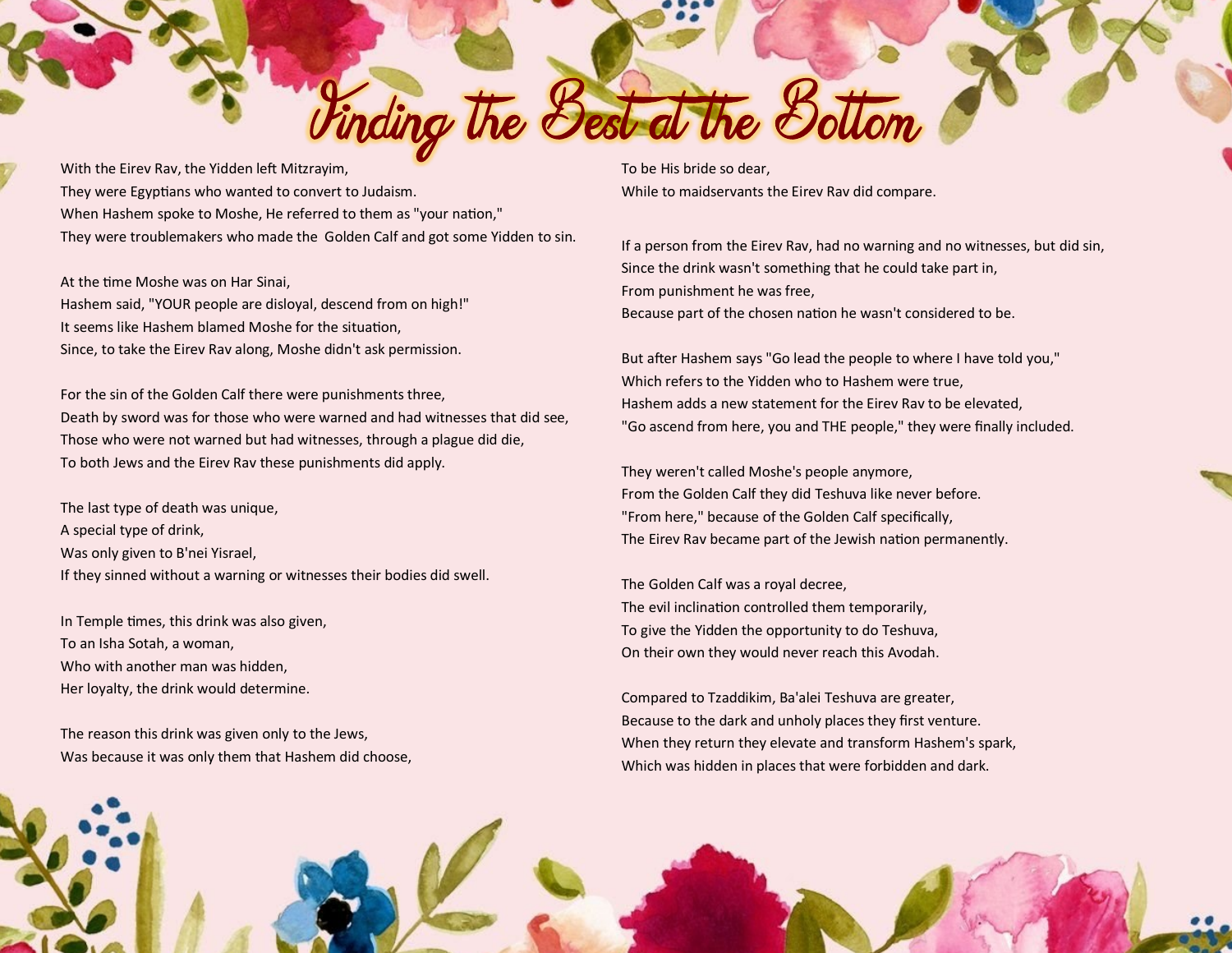With the Eirev Rav, the Yidden left Mitzrayim, They were Egyptians who wanted to convert to Judaism. When Hashem spoke to Moshe, He referred to them as "your nation," They were troublemakers who made the Golden Calf and got some Yidden to sin.

At the time Moshe was on Har Sinai, Hashem said, "YOUR people are disloyal, descend from on high!" It seems like Hashem blamed Moshe for the situation, Since, to take the Eirev Rav along, Moshe didn't ask permission.

For the sin of the Golden Calf there were punishments three, Death by sword was for those who were warned and had witnesses that did see, Those who were not warned but had witnesses, through a plague did die, To both Jews and the Eirev Rav these punishments did apply.

The last type of death was unique, A special type of drink, Was only given to B'nei Yisrael, If they sinned without a warning or witnesses their bodies did swell.

In Temple times, this drink was also given, To an Isha Sotah, a woman, Who with another man was hidden, Her loyalty, the drink would determine.

The reason this drink was given only to the Jews, Was because it was only them that Hashem did choose, To be His bride so dear, While to maidservants the Eirev Rav did compare.

Vinding the Best at the Bottom

If a person from the Eirev Rav, had no warning and no witnesses, but did sin, Since the drink wasn't something that he could take part in, From punishment he was free, Because part of the chosen nation he wasn't considered to be.

But after Hashem says "Go lead the people to where I have told you," Which refers to the Yidden who to Hashem were true, Hashem adds a new statement for the Eirev Rav to be elevated, "Go ascend from here, you and THE people," they were finally included.

They weren't called Moshe's people anymore, From the Golden Calf they did Teshuva like never before. "From here," because of the Golden Calf specifically, The Eirev Rav became part of the Jewish nation permanently.

The Golden Calf was a royal decree, The evil inclination controlled them temporarily, To give the Yidden the opportunity to do Teshuva, On their own they would never reach this Avodah.

Compared to Tzaddikim, Ba'alei Teshuva are greater, Because to the dark and unholy places they first venture. When they return they elevate and transform Hashem's spark, Which was hidden in places that were forbidden and dark.